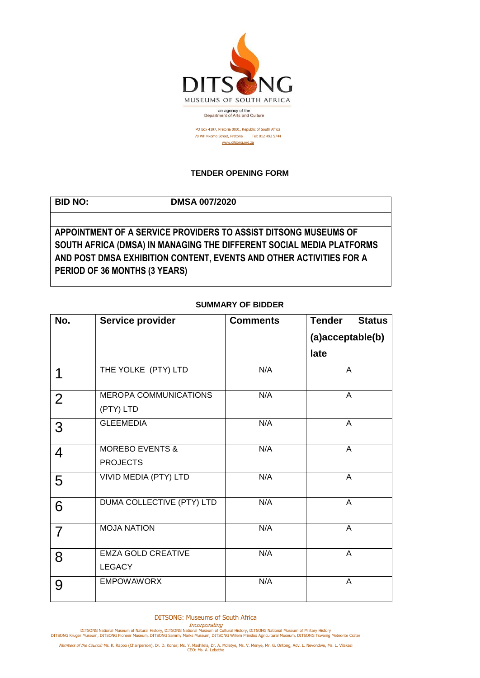

PO Box 4197, Pretoria 0001, Republic of South Africa 70 WF Nkomo Street, Pretoria Tel: 012 492 5744 [www.ditsong.org.za](http://www.ditsong.org.za/)

## **TENDER OPENING FORM**

**BID NO: DMSA 007/2020**

**APPOINTMENT OF A SERVICE PROVIDERS TO ASSIST DITSONG MUSEUMS OF SOUTH AFRICA (DMSA) IN MANAGING THE DIFFERENT SOCIAL MEDIA PLATFORMS AND POST DMSA EXHIBITION CONTENT, EVENTS AND OTHER ACTIVITIES FOR A PERIOD OF 36 MONTHS (3 YEARS)**

## **SUMMARY OF BIDDER**

| No.            | Service provider           | <b>Comments</b> | <b>Tender</b><br><b>Status</b> |
|----------------|----------------------------|-----------------|--------------------------------|
|                |                            |                 | (a)acceptable(b)               |
|                |                            |                 | late                           |
| 1              | THE YOLKE (PTY) LTD        | N/A             | A                              |
| $\overline{2}$ | MEROPA COMMUNICATIONS      | N/A             | $\mathsf{A}$                   |
|                | (PTY) LTD                  |                 |                                |
| 3              | <b>GLEEMEDIA</b>           | N/A             | $\overline{A}$                 |
| 4              | <b>MOREBO EVENTS &amp;</b> | N/A             | $\mathsf{A}$                   |
|                | <b>PROJECTS</b>            |                 |                                |
| 5              | VIVID MEDIA (PTY) LTD      | N/A             | A                              |
| 6              | DUMA COLLECTIVE (PTY) LTD  | N/A             | A                              |
| $\overline{7}$ | <b>MOJA NATION</b>         | N/A             | A                              |
| 8              | <b>EMZA GOLD CREATIVE</b>  | N/A             | A                              |
|                | <b>LEGACY</b>              |                 |                                |
| 9              | <b>EMPOWAWORX</b>          | N/A             | A                              |

DITSONG: Museums of South Africa

Incorporating<br>DITSONG National Museum of Natural History, DITSONG National Museum of Military History<br>DITSONG Kruger Museum, DITSONG Pioneer Museum, DITSONG Sammy Marks Museum, DITSONG Willem Prinsloo Agricultural Museum,

Members of the Council: Ms. K. Rapoo (Chairperson), Dr. D. Konar; Ms. Y. Mashilela, Dr. A. Mdletye, Ms. V. Menye, Mr. G. Ontong, Adv. L. Nevondwe, Ms. L. Vilakazi<br>CEO: Ms. A. Lebethe